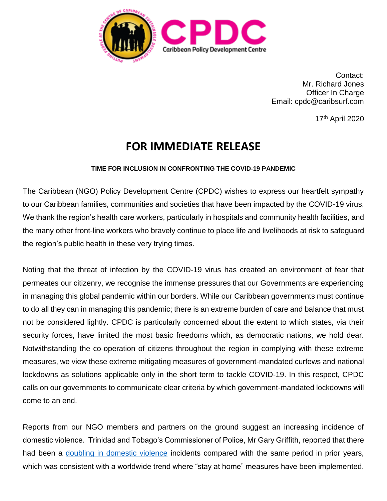

Contact: Mr. Richard Jones Officer In Charge Email: cpdc@caribsurf.com

17th April 2020

## **FOR IMMEDIATE RELEASE**

## **TIME FOR INCLUSION IN CONFRONTING THE COVID-19 PANDEMIC**

The Caribbean (NGO) Policy Development Centre (CPDC) wishes to express our heartfelt sympathy to our Caribbean families, communities and societies that have been impacted by the COVID-19 virus. We thank the region's health care workers, particularly in hospitals and community health facilities, and the many other front-line workers who bravely continue to place life and livelihoods at risk to safeguard the region's public health in these very trying times.

Noting that the threat of infection by the COVID-19 virus has created an environment of fear that permeates our citizenry, we recognise the immense pressures that our Governments are experiencing in managing this global pandemic within our borders. While our Caribbean governments must continue to do all they can in managing this pandemic; there is an extreme burden of care and balance that must not be considered lightly. CPDC is particularly concerned about the extent to which states, via their security forces, have limited the most basic freedoms which, as democratic nations, we hold dear. Notwithstanding the co-operation of citizens throughout the region in complying with these extreme measures, we view these extreme mitigating measures of government-mandated curfews and national lockdowns as solutions applicable only in the short term to tackle COVID-19. In this respect, CPDC calls on our governments to communicate clear criteria by which government-mandated lockdowns will come to an end.

Reports from our NGO members and partners on the ground suggest an increasing incidence of domestic violence. Trinidad and Tobago's Commissioner of Police, Mr Gary Griffith, reported that there had been a [doubling in domestic violence](https://trinidadexpress.com/newsextra/frightening-increase-in-domestic-violence-cases-as-families-stay-home/article_77f814f8-7a6c-11ea-ac46-37800a519570.html) incidents compared with the same period in prior years, which was consistent with a worldwide trend where "stay at home" measures have been implemented.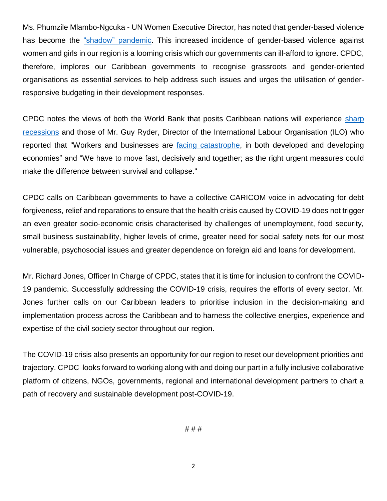Ms. Phumzile Mlambo-Ngcuka - UN Women Executive Director, has noted that gender-based violence has become the ["shadow" pandemic.](https://www2.unwomen.org/en/news/stories/2020/4/statement-ed-phumzile-violence-against-women-during-pandemic) This increased incidence of gender-based violence against women and girls in our region is a looming crisis which our governments can ill-afford to ignore. CPDC, therefore, implores our Caribbean governments to recognise grassroots and gender-oriented organisations as essential services to help address such issues and urges the utilisation of genderresponsive budgeting in their development responses.

CPDC notes the views of both the World Bank that posits Caribbean nations will experience [sharp](https://dominicantoday.com/dr/economy/2020/04/13/the-world-bank-reveals-that-only-the-dominican-republic-and-guyana-will-escape-a-strong-regional-recession/)  [recessions](https://dominicantoday.com/dr/economy/2020/04/13/the-world-bank-reveals-that-only-the-dominican-republic-and-guyana-will-escape-a-strong-regional-recession/) and those of Mr. Guy Ryder, Director of the International Labour Organisation (ILO) who reported that "Workers and businesses are [facing catastrophe,](https://www.ilo.org/global/about-the-ilo/newsroom/news/WCMS_740893/lang--en/index.htm) in both developed and developing economies" and "We have to move fast, decisively and together; as the right urgent measures could make the difference between survival and collapse."

CPDC calls on Caribbean governments to have a collective CARICOM voice in advocating for debt forgiveness, relief and reparations to ensure that the health crisis caused by COVID-19 does not trigger an even greater socio-economic crisis characterised by challenges of unemployment, food security, small business sustainability, higher levels of crime, greater need for social safety nets for our most vulnerable, psychosocial issues and greater dependence on foreign aid and loans for development.

Mr. Richard Jones, Officer In Charge of CPDC, states that it is time for inclusion to confront the COVID-19 pandemic. Successfully addressing the COVID-19 crisis, requires the efforts of every sector. Mr. Jones further calls on our Caribbean leaders to prioritise inclusion in the decision-making and implementation process across the Caribbean and to harness the collective energies, experience and expertise of the civil society sector throughout our region.

The COVID-19 crisis also presents an opportunity for our region to reset our development priorities and trajectory. CPDC looks forward to working along with and doing our part in a fully inclusive collaborative platform of citizens, NGOs, governments, regional and international development partners to chart a path of recovery and sustainable development post-COVID-19.

# # #

2